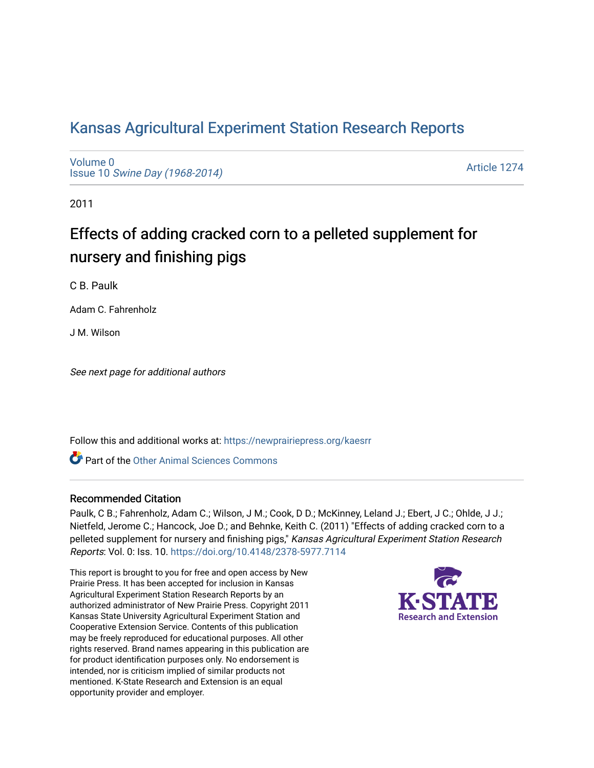# [Kansas Agricultural Experiment Station Research Reports](https://newprairiepress.org/kaesrr)

[Volume 0](https://newprairiepress.org/kaesrr/vol0) Issue 10 [Swine Day \(1968-2014\)](https://newprairiepress.org/kaesrr/vol0/iss10)

[Article 1274](https://newprairiepress.org/kaesrr/vol0/iss10/1274) 

2011

# Effects of adding cracked corn to a pelleted supplement for nursery and finishing pigs

C B. Paulk

Adam C. Fahrenholz

J M. Wilson

See next page for additional authors

Follow this and additional works at: [https://newprairiepress.org/kaesrr](https://newprairiepress.org/kaesrr?utm_source=newprairiepress.org%2Fkaesrr%2Fvol0%2Fiss10%2F1274&utm_medium=PDF&utm_campaign=PDFCoverPages) 

**C** Part of the [Other Animal Sciences Commons](http://network.bepress.com/hgg/discipline/82?utm_source=newprairiepress.org%2Fkaesrr%2Fvol0%2Fiss10%2F1274&utm_medium=PDF&utm_campaign=PDFCoverPages)

#### Recommended Citation

Paulk, C B.; Fahrenholz, Adam C.; Wilson, J M.; Cook, D D.; McKinney, Leland J.; Ebert, J C.; Ohlde, J J.; Nietfeld, Jerome C.; Hancock, Joe D.; and Behnke, Keith C. (2011) "Effects of adding cracked corn to a pelleted supplement for nursery and finishing pigs," Kansas Agricultural Experiment Station Research Reports: Vol. 0: Iss. 10.<https://doi.org/10.4148/2378-5977.7114>

This report is brought to you for free and open access by New Prairie Press. It has been accepted for inclusion in Kansas Agricultural Experiment Station Research Reports by an authorized administrator of New Prairie Press. Copyright 2011 Kansas State University Agricultural Experiment Station and Cooperative Extension Service. Contents of this publication may be freely reproduced for educational purposes. All other rights reserved. Brand names appearing in this publication are for product identification purposes only. No endorsement is intended, nor is criticism implied of similar products not mentioned. K-State Research and Extension is an equal opportunity provider and employer.

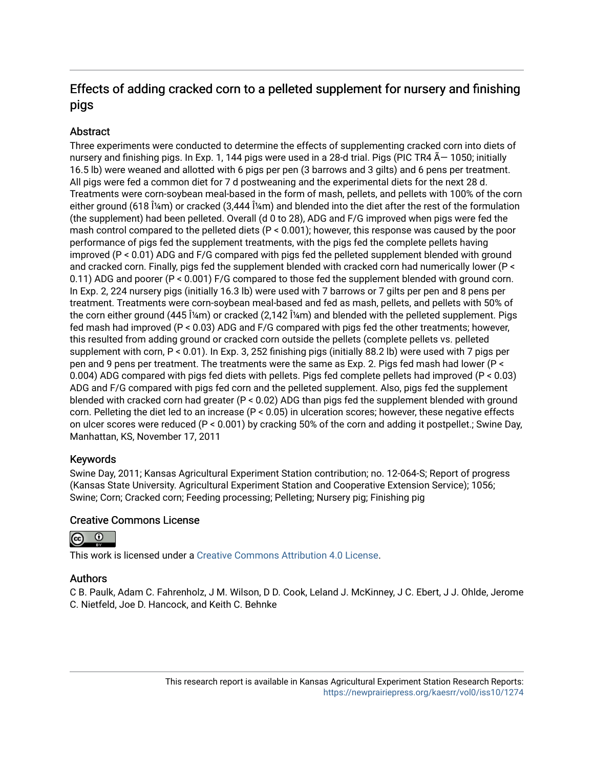# Effects of adding cracked corn to a pelleted supplement for nursery and finishing pigs

## Abstract

Three experiments were conducted to determine the effects of supplementing cracked corn into diets of nursery and finishing pigs. In Exp. 1, 144 pigs were used in a 28-d trial. Pigs (PIC TR4  $\tilde{A}$  – 1050; initially 16.5 lb) were weaned and allotted with 6 pigs per pen (3 barrows and 3 gilts) and 6 pens per treatment. All pigs were fed a common diet for 7 d postweaning and the experimental diets for the next 28 d. Treatments were corn-soybean meal-based in the form of mash, pellets, and pellets with 100% of the corn either ground (618  $\hat{I}$ /<sub>4</sub>m) or cracked (3,444  $\hat{I}$ /<sub>4</sub>m) and blended into the diet after the rest of the formulation (the supplement) had been pelleted. Overall (d 0 to 28), ADG and F/G improved when pigs were fed the mash control compared to the pelleted diets (P < 0.001); however, this response was caused by the poor performance of pigs fed the supplement treatments, with the pigs fed the complete pellets having improved (P < 0.01) ADG and F/G compared with pigs fed the pelleted supplement blended with ground and cracked corn. Finally, pigs fed the supplement blended with cracked corn had numerically lower (P < 0.11) ADG and poorer (P < 0.001) F/G compared to those fed the supplement blended with ground corn. In Exp. 2, 224 nursery pigs (initially 16.3 lb) were used with 7 barrows or 7 gilts per pen and 8 pens per treatment. Treatments were corn-soybean meal-based and fed as mash, pellets, and pellets with 50% of the corn either ground (445  $\frac{2}{m}$ ) or cracked (2,142  $\frac{2}{m}$ ) and blended with the pelleted supplement. Pigs fed mash had improved (P < 0.03) ADG and F/G compared with pigs fed the other treatments; however, this resulted from adding ground or cracked corn outside the pellets (complete pellets vs. pelleted supplement with corn, P < 0.01). In Exp. 3, 252 finishing pigs (initially 88.2 lb) were used with 7 pigs per pen and 9 pens per treatment. The treatments were the same as Exp. 2. Pigs fed mash had lower (P < 0.004) ADG compared with pigs fed diets with pellets. Pigs fed complete pellets had improved (P < 0.03) ADG and F/G compared with pigs fed corn and the pelleted supplement. Also, pigs fed the supplement blended with cracked corn had greater (P < 0.02) ADG than pigs fed the supplement blended with ground corn. Pelleting the diet led to an increase (P < 0.05) in ulceration scores; however, these negative effects on ulcer scores were reduced (P < 0.001) by cracking 50% of the corn and adding it postpellet.; Swine Day, Manhattan, KS, November 17, 2011

## Keywords

Swine Day, 2011; Kansas Agricultural Experiment Station contribution; no. 12-064-S; Report of progress (Kansas State University. Agricultural Experiment Station and Cooperative Extension Service); 1056; Swine; Corn; Cracked corn; Feeding processing; Pelleting; Nursery pig; Finishing pig

### Creative Commons License



This work is licensed under a [Creative Commons Attribution 4.0 License](https://creativecommons.org/licenses/by/4.0/).

### Authors

C B. Paulk, Adam C. Fahrenholz, J M. Wilson, D D. Cook, Leland J. McKinney, J C. Ebert, J J. Ohlde, Jerome C. Nietfeld, Joe D. Hancock, and Keith C. Behnke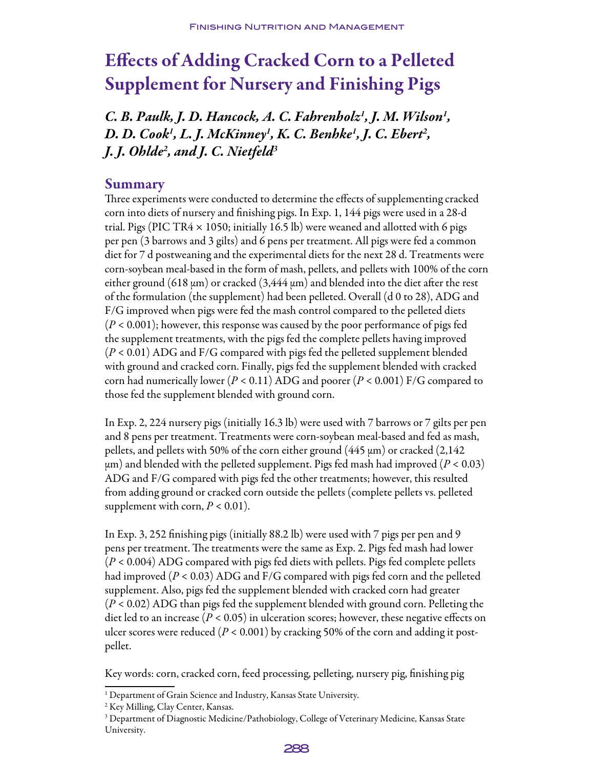# Effects of Adding Cracked Corn to a Pelleted Supplement for Nursery and Finishing Pigs

*C. B. Paulk, J. D. Hancock, A. C. Fahrenholz1 , J. M. Wilson1 , D. D. Cook1 , L. J. McKinney1 , K. C. Benhke1 , J. C. Ebert2 , J. J. Ohlde2 , and J. C. Nietfeld3*

## Summary

Three experiments were conducted to determine the effects of supplementing cracked corn into diets of nursery and finishing pigs. In Exp. 1, 144 pigs were used in a 28-d trial. Pigs (PIC TR4  $\times$  1050; initially 16.5 lb) were weaned and allotted with 6 pigs per pen (3 barrows and 3 gilts) and 6 pens per treatment. All pigs were fed a common diet for 7 d postweaning and the experimental diets for the next 28 d. Treatments were corn-soybean meal-based in the form of mash, pellets, and pellets with 100% of the corn either ground (618  $\mu$ m) or cracked (3,444  $\mu$ m) and blended into the diet after the rest of the formulation (the supplement) had been pelleted. Overall (d 0 to 28), ADG and F/G improved when pigs were fed the mash control compared to the pelleted diets (*P* < 0.001); however, this response was caused by the poor performance of pigs fed the supplement treatments, with the pigs fed the complete pellets having improved (*P* < 0.01) ADG and F/G compared with pigs fed the pelleted supplement blended with ground and cracked corn. Finally, pigs fed the supplement blended with cracked corn had numerically lower (*P* < 0.11) ADG and poorer (*P* < 0.001) F/G compared to those fed the supplement blended with ground corn.

In Exp. 2, 224 nursery pigs (initially 16.3 lb) were used with 7 barrows or 7 gilts per pen and 8 pens per treatment. Treatments were corn-soybean meal-based and fed as mash, pellets, and pellets with 50% of the corn either ground (445 μm) or cracked (2,142  $\mu$ m) and blended with the pelleted supplement. Pigs fed mash had improved ( $P < 0.03$ ) ADG and F/G compared with pigs fed the other treatments; however, this resulted from adding ground or cracked corn outside the pellets (complete pellets vs. pelleted supplement with corn,  $P < 0.01$ ).

In Exp. 3, 252 finishing pigs (initially 88.2 lb) were used with 7 pigs per pen and 9 pens per treatment. The treatments were the same as Exp. 2. Pigs fed mash had lower (*P* < 0.004) ADG compared with pigs fed diets with pellets. Pigs fed complete pellets had improved (*P* < 0.03) ADG and F/G compared with pigs fed corn and the pelleted supplement. Also, pigs fed the supplement blended with cracked corn had greater (*P* < 0.02) ADG than pigs fed the supplement blended with ground corn. Pelleting the diet led to an increase ( $P < 0.05$ ) in ulceration scores; however, these negative effects on ulcer scores were reduced (*P* < 0.001) by cracking 50% of the corn and adding it postpellet.

Key words: corn, cracked corn, feed processing, pelleting, nursery pig, finishing pig

<sup>&</sup>lt;sup>3</sup> Department of Diagnostic Medicine/Pathobiology, College of Veterinary Medicine, Kansas State University.



<sup>&</sup>lt;sup>1</sup> Department of Grain Science and Industry, Kansas State University.

<sup>2</sup> Key Milling, Clay Center, Kansas.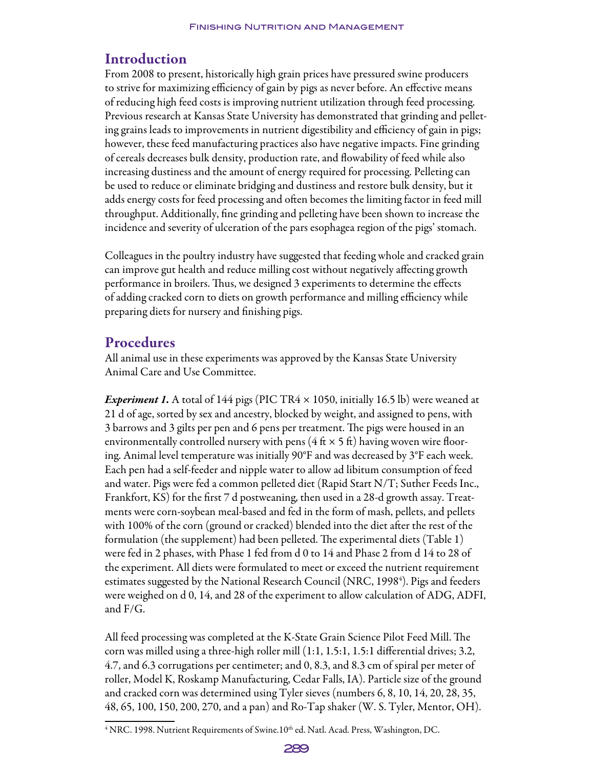# Introduction

From 2008 to present, historically high grain prices have pressured swine producers to strive for maximizing efficiency of gain by pigs as never before. An effective means of reducing high feed costs is improving nutrient utilization through feed processing. Previous research at Kansas State University has demonstrated that grinding and pelleting grains leads to improvements in nutrient digestibility and efficiency of gain in pigs; however, these feed manufacturing practices also have negative impacts. Fine grinding of cereals decreases bulk density, production rate, and flowability of feed while also increasing dustiness and the amount of energy required for processing. Pelleting can be used to reduce or eliminate bridging and dustiness and restore bulk density, but it adds energy costs for feed processing and often becomes the limiting factor in feed mill throughput. Additionally, fine grinding and pelleting have been shown to increase the incidence and severity of ulceration of the pars esophagea region of the pigs' stomach.

Colleagues in the poultry industry have suggested that feeding whole and cracked grain can improve gut health and reduce milling cost without negatively affecting growth performance in broilers. Thus, we designed 3 experiments to determine the effects of adding cracked corn to diets on growth performance and milling efficiency while preparing diets for nursery and finishing pigs.

## Procedures

All animal use in these experiments was approved by the Kansas State University Animal Care and Use Committee.

*Experiment 1.* A total of 144 pigs (PIC TR4  $\times$  1050, initially 16.5 lb) were weaned at 21 d of age, sorted by sex and ancestry, blocked by weight, and assigned to pens, with 3 barrows and 3 gilts per pen and 6 pens per treatment. The pigs were housed in an environmentally controlled nursery with pens ( $4 \text{ ft} \times 5 \text{ ft}$ ) having woven wire flooring. Animal level temperature was initially 90°F and was decreased by 3°F each week. Each pen had a self-feeder and nipple water to allow ad libitum consumption of feed and water. Pigs were fed a common pelleted diet (Rapid Start N/T; Suther Feeds Inc., Frankfort, KS) for the first 7 d postweaning, then used in a 28-d growth assay. Treatments were corn-soybean meal-based and fed in the form of mash, pellets, and pellets with 100% of the corn (ground or cracked) blended into the diet after the rest of the formulation (the supplement) had been pelleted. The experimental diets (Table 1) were fed in 2 phases, with Phase 1 fed from d 0 to 14 and Phase 2 from d 14 to 28 of the experiment. All diets were formulated to meet or exceed the nutrient requirement estimates suggested by the National Research Council (NRC, 1998<sup>4</sup>). Pigs and feeders were weighed on d 0, 14, and 28 of the experiment to allow calculation of ADG, ADFI, and F/G.

All feed processing was completed at the K-State Grain Science Pilot Feed Mill. The corn was milled using a three-high roller mill (1:1, 1.5:1, 1.5:1 differential drives; 3.2, 4.7, and 6.3 corrugations per centimeter; and 0, 8.3, and 8.3 cm of spiral per meter of roller, Model K, Roskamp Manufacturing, Cedar Falls, IA). Particle size of the ground and cracked corn was determined using Tyler sieves (numbers 6, 8, 10, 14, 20, 28, 35, 48, 65, 100, 150, 200, 270, and a pan) and Ro-Tap shaker (W. S. Tyler, Mentor, OH).

 $^4$  NRC. 1998. Nutrient Requirements of Swine.10 $^{\rm th}$  ed. Natl. Acad. Press, Washington, DC.

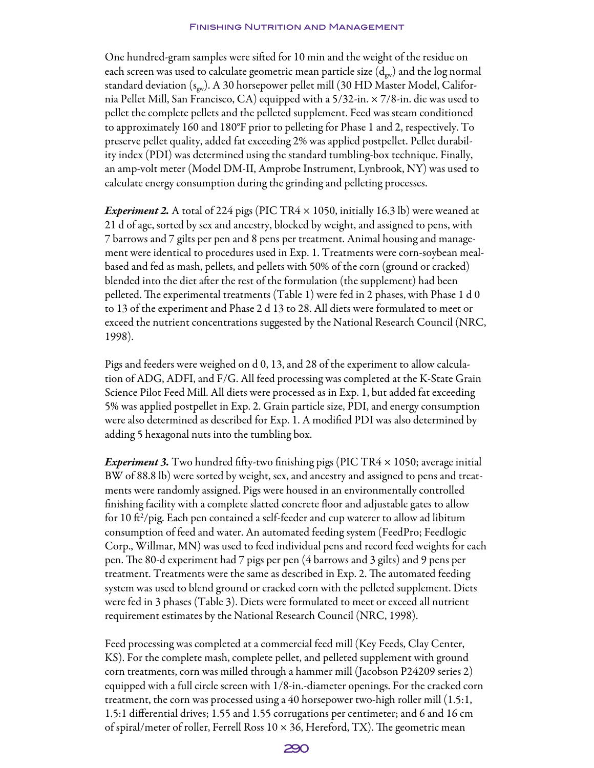One hundred-gram samples were sifted for 10 min and the weight of the residue on each screen was used to calculate geometric mean particle size  $(d_{\text{gw}})$  and the log normal standard deviation ( $s_{gw}$ ). A 30 horsepower pellet mill (30 HD Master Model, California Pellet Mill, San Francisco, CA) equipped with a 5/32-in. × 7/8-in. die was used to pellet the complete pellets and the pelleted supplement. Feed was steam conditioned to approximately 160 and 180°F prior to pelleting for Phase 1 and 2, respectively. To preserve pellet quality, added fat exceeding 2% was applied postpellet. Pellet durability index (PDI) was determined using the standard tumbling-box technique. Finally, an amp-volt meter (Model DM-II, Amprobe Instrument, Lynbrook, NY) was used to calculate energy consumption during the grinding and pelleting processes.

*Experiment 2.* A total of 224 pigs (PIC TR4  $\times$  1050, initially 16.3 lb) were weaned at 21 d of age, sorted by sex and ancestry, blocked by weight, and assigned to pens, with 7 barrows and 7 gilts per pen and 8 pens per treatment. Animal housing and management were identical to procedures used in Exp. 1. Treatments were corn-soybean mealbased and fed as mash, pellets, and pellets with 50% of the corn (ground or cracked) blended into the diet after the rest of the formulation (the supplement) had been pelleted. The experimental treatments (Table 1) were fed in 2 phases, with Phase 1 d 0 to 13 of the experiment and Phase 2 d 13 to 28. All diets were formulated to meet or exceed the nutrient concentrations suggested by the National Research Council (NRC, 1998).

Pigs and feeders were weighed on d 0, 13, and 28 of the experiment to allow calculation of ADG, ADFI, and F/G. All feed processing was completed at the K-State Grain Science Pilot Feed Mill. All diets were processed as in Exp. 1, but added fat exceeding 5% was applied postpellet in Exp. 2. Grain particle size, PDI, and energy consumption were also determined as described for Exp. 1. A modified PDI was also determined by adding 5 hexagonal nuts into the tumbling box.

*Experiment 3*. Two hundred fifty-two finishing pigs (PIC TR4  $\times$  1050; average initial BW of 88.8 lb) were sorted by weight, sex, and ancestry and assigned to pens and treatments were randomly assigned. Pigs were housed in an environmentally controlled finishing facility with a complete slatted concrete floor and adjustable gates to allow for 10 ft²/pig. Each pen contained a self-feeder and cup waterer to allow ad libitum consumption of feed and water. An automated feeding system (FeedPro; Feedlogic Corp., Willmar, MN) was used to feed individual pens and record feed weights for each pen. The 80-d experiment had 7 pigs per pen (4 barrows and 3 gilts) and 9 pens per treatment. Treatments were the same as described in Exp. 2. The automated feeding system was used to blend ground or cracked corn with the pelleted supplement. Diets were fed in 3 phases (Table 3). Diets were formulated to meet or exceed all nutrient requirement estimates by the National Research Council (NRC, 1998).

Feed processing was completed at a commercial feed mill (Key Feeds, Clay Center, KS). For the complete mash, complete pellet, and pelleted supplement with ground corn treatments, corn was milled through a hammer mill (Jacobson P24209 series 2) equipped with a full circle screen with 1/8-in.-diameter openings. For the cracked corn treatment, the corn was processed using a 40 horsepower two-high roller mill (1.5:1, 1.5:1 differential drives; 1.55 and 1.55 corrugations per centimeter; and 6 and 16 cm of spiral/meter of roller, Ferrell Ross  $10 \times 36$ , Hereford, TX). The geometric mean

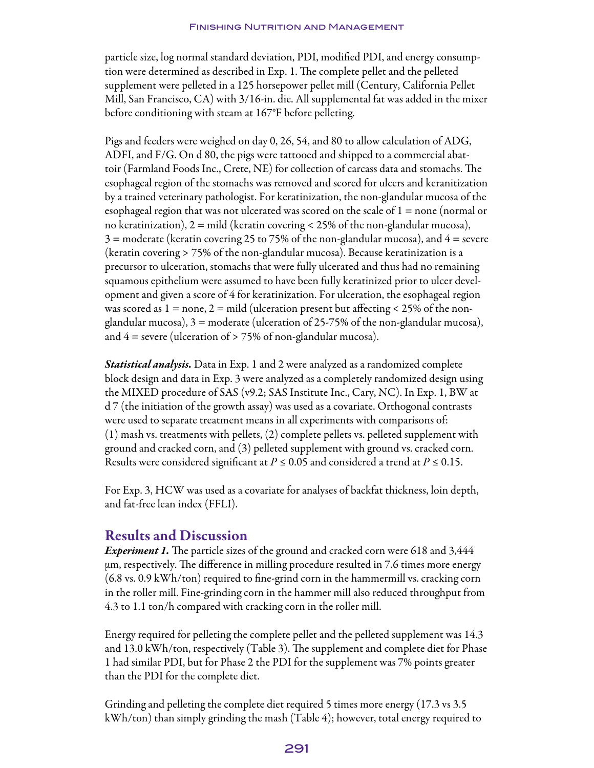particle size, log normal standard deviation, PDI, modified PDI, and energy consumption were determined as described in Exp. 1. The complete pellet and the pelleted supplement were pelleted in a 125 horsepower pellet mill (Century, California Pellet Mill, San Francisco, CA) with 3/16-in. die. All supplemental fat was added in the mixer before conditioning with steam at 167°F before pelleting.

Pigs and feeders were weighed on day 0, 26, 54, and 80 to allow calculation of ADG, ADFI, and F/G. On d 80, the pigs were tattooed and shipped to a commercial abattoir (Farmland Foods Inc., Crete, NE) for collection of carcass data and stomachs. The esophageal region of the stomachs was removed and scored for ulcers and keranitization by a trained veterinary pathologist. For keratinization, the non-glandular mucosa of the esophageal region that was not ulcerated was scored on the scale of 1 = none (normal or no keratinization),  $2 = \text{mild}$  (keratin covering < 25% of the non-glandular mucosa),  $3$  = moderate (keratin covering 25 to 75% of the non-glandular mucosa), and  $4$  = severe (keratin covering > 75% of the non-glandular mucosa). Because keratinization is a precursor to ulceration, stomachs that were fully ulcerated and thus had no remaining squamous epithelium were assumed to have been fully keratinized prior to ulcer development and given a score of 4 for keratinization. For ulceration, the esophageal region was scored as  $1 =$  none,  $2 =$  mild (ulceration present but affecting < 25% of the nonglandular mucosa),  $3 =$  moderate (ulceration of 25-75% of the non-glandular mucosa), and  $4$  = severe (ulceration of  $> 75\%$  of non-glandular mucosa).

*Statistical analysis.* Data in Exp. 1 and 2 were analyzed as a randomized complete block design and data in Exp. 3 were analyzed as a completely randomized design using the MIXED procedure of SAS (v9.2; SAS Institute Inc., Cary, NC). In Exp. 1, BW at d 7 (the initiation of the growth assay) was used as a covariate. Orthogonal contrasts were used to separate treatment means in all experiments with comparisons of: (1) mash vs. treatments with pellets, (2) complete pellets vs. pelleted supplement with ground and cracked corn, and (3) pelleted supplement with ground vs. cracked corn. Results were considered significant at *P ≤* 0.05 and considered a trend at *P ≤* 0.15.

For Exp. 3, HCW was used as a covariate for analyses of backfat thickness, loin depth, and fat-free lean index (FFLI).

## Results and Discussion

*Experiment 1.* The particle sizes of the ground and cracked corn were 618 and 3,444 μm, respectively. The difference in milling procedure resulted in 7.6 times more energy (6.8 vs. 0.9 kWh/ton) required to fine-grind corn in the hammermill vs. cracking corn in the roller mill. Fine-grinding corn in the hammer mill also reduced throughput from 4.3 to 1.1 ton/h compared with cracking corn in the roller mill.

Energy required for pelleting the complete pellet and the pelleted supplement was 14.3 and 13.0 kWh/ton, respectively (Table 3). The supplement and complete diet for Phase 1 had similar PDI, but for Phase 2 the PDI for the supplement was 7% points greater than the PDI for the complete diet.

Grinding and pelleting the complete diet required 5 times more energy (17.3 vs 3.5 kWh/ton) than simply grinding the mash (Table 4); however, total energy required to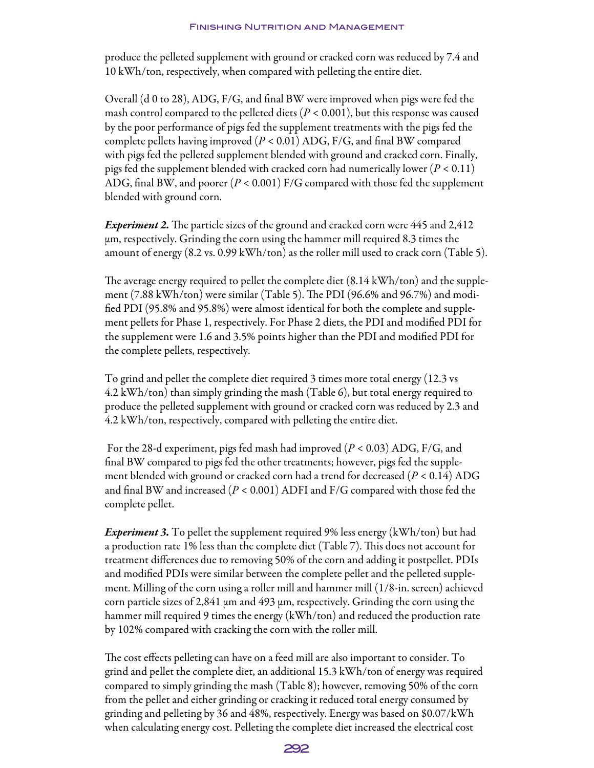produce the pelleted supplement with ground or cracked corn was reduced by 7.4 and 10 kWh/ton, respectively, when compared with pelleting the entire diet.

Overall (d 0 to 28), ADG, F/G, and final BW were improved when pigs were fed the mash control compared to the pelleted diets  $(P < 0.001)$ , but this response was caused by the poor performance of pigs fed the supplement treatments with the pigs fed the complete pellets having improved (*P* < 0.01) ADG, F/G, and final BW compared with pigs fed the pelleted supplement blended with ground and cracked corn. Finally, pigs fed the supplement blended with cracked corn had numerically lower (*P* < 0.11) ADG, final BW, and poorer  $(P < 0.001)$  F/G compared with those fed the supplement blended with ground corn.

*Experiment 2.* The particle sizes of the ground and cracked corn were 445 and 2,412 μm, respectively. Grinding the corn using the hammer mill required 8.3 times the amount of energy (8.2 vs. 0.99 kWh/ton) as the roller mill used to crack corn (Table 5).

The average energy required to pellet the complete diet (8.14 kWh/ton) and the supplement (7.88 kWh/ton) were similar (Table 5). The PDI (96.6% and 96.7%) and modified PDI (95.8% and 95.8%) were almost identical for both the complete and supplement pellets for Phase 1, respectively. For Phase 2 diets, the PDI and modified PDI for the supplement were 1.6 and 3.5% points higher than the PDI and modified PDI for the complete pellets, respectively.

To grind and pellet the complete diet required 3 times more total energy (12.3 vs 4.2 kWh/ton) than simply grinding the mash (Table 6), but total energy required to produce the pelleted supplement with ground or cracked corn was reduced by 2.3 and 4.2 kWh/ton, respectively, compared with pelleting the entire diet.

 For the 28-d experiment, pigs fed mash had improved (*P* < 0.03) ADG, F/G, and final BW compared to pigs fed the other treatments; however, pigs fed the supplement blended with ground or cracked corn had a trend for decreased (*P* < 0.14) ADG and final BW and increased (*P* < 0.001) ADFI and F/G compared with those fed the complete pellet.

*Experiment 3.* To pellet the supplement required 9% less energy (kWh/ton) but had a production rate 1% less than the complete diet (Table 7). This does not account for treatment differences due to removing 50% of the corn and adding it postpellet. PDIs and modified PDIs were similar between the complete pellet and the pelleted supplement. Milling of the corn using a roller mill and hammer mill (1/8-in. screen) achieved corn particle sizes of 2,841 μm and 493 μm, respectively. Grinding the corn using the hammer mill required 9 times the energy (kWh/ton) and reduced the production rate by 102% compared with cracking the corn with the roller mill.

The cost effects pelleting can have on a feed mill are also important to consider. To grind and pellet the complete diet, an additional 15.3 kWh/ton of energy was required compared to simply grinding the mash (Table 8); however, removing 50% of the corn from the pellet and either grinding or cracking it reduced total energy consumed by grinding and pelleting by 36 and 48%, respectively. Energy was based on \$0.07/kWh when calculating energy cost. Pelleting the complete diet increased the electrical cost

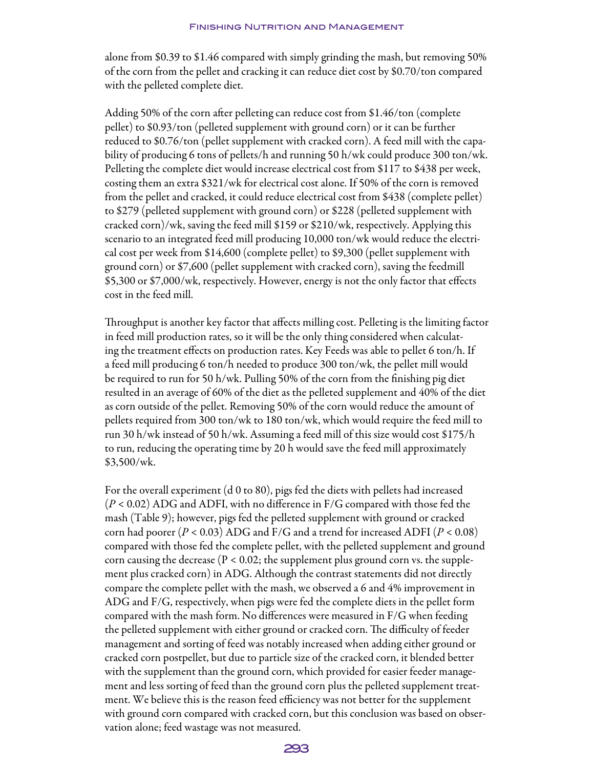alone from \$0.39 to \$1.46 compared with simply grinding the mash, but removing 50% of the corn from the pellet and cracking it can reduce diet cost by \$0.70/ton compared with the pelleted complete diet.

Adding 50% of the corn after pelleting can reduce cost from \$1.46/ton (complete pellet) to \$0.93/ton (pelleted supplement with ground corn) or it can be further reduced to \$0.76/ton (pellet supplement with cracked corn). A feed mill with the capability of producing 6 tons of pellets/h and running 50 h/wk could produce 300 ton/wk. Pelleting the complete diet would increase electrical cost from \$117 to \$438 per week, costing them an extra \$321/wk for electrical cost alone. If 50% of the corn is removed from the pellet and cracked, it could reduce electrical cost from \$438 (complete pellet) to \$279 (pelleted supplement with ground corn) or \$228 (pelleted supplement with cracked corn)/wk, saving the feed mill \$159 or \$210/wk, respectively. Applying this scenario to an integrated feed mill producing 10,000 ton/wk would reduce the electrical cost per week from \$14,600 (complete pellet) to \$9,300 (pellet supplement with ground corn) or \$7,600 (pellet supplement with cracked corn), saving the feedmill \$5,300 or \$7,000/wk, respectively. However, energy is not the only factor that effects cost in the feed mill.

Throughput is another key factor that affects milling cost. Pelleting is the limiting factor in feed mill production rates, so it will be the only thing considered when calculating the treatment effects on production rates. Key Feeds was able to pellet 6 ton/h. If a feed mill producing 6 ton/h needed to produce 300 ton/wk, the pellet mill would be required to run for 50 h/wk. Pulling 50% of the corn from the finishing pig diet resulted in an average of 60% of the diet as the pelleted supplement and 40% of the diet as corn outside of the pellet. Removing 50% of the corn would reduce the amount of pellets required from 300 ton/wk to 180 ton/wk, which would require the feed mill to run 30 h/wk instead of 50 h/wk. Assuming a feed mill of this size would cost \$175/h to run, reducing the operating time by 20 h would save the feed mill approximately \$3,500/wk.

For the overall experiment (d 0 to 80), pigs fed the diets with pellets had increased (*P* < 0.02) ADG and ADFI, with no difference in F/G compared with those fed the mash (Table 9); however, pigs fed the pelleted supplement with ground or cracked corn had poorer  $(P < 0.03)$  ADG and F/G and a trend for increased ADFI  $(P < 0.08)$ compared with those fed the complete pellet, with the pelleted supplement and ground corn causing the decrease ( $P < 0.02$ ; the supplement plus ground corn vs. the supplement plus cracked corn) in ADG. Although the contrast statements did not directly compare the complete pellet with the mash, we observed a 6 and 4% improvement in ADG and F/G, respectively, when pigs were fed the complete diets in the pellet form compared with the mash form. No differences were measured in F/G when feeding the pelleted supplement with either ground or cracked corn. The difficulty of feeder management and sorting of feed was notably increased when adding either ground or cracked corn postpellet, but due to particle size of the cracked corn, it blended better with the supplement than the ground corn, which provided for easier feeder management and less sorting of feed than the ground corn plus the pelleted supplement treatment. We believe this is the reason feed efficiency was not better for the supplement with ground corn compared with cracked corn, but this conclusion was based on observation alone; feed wastage was not measured.

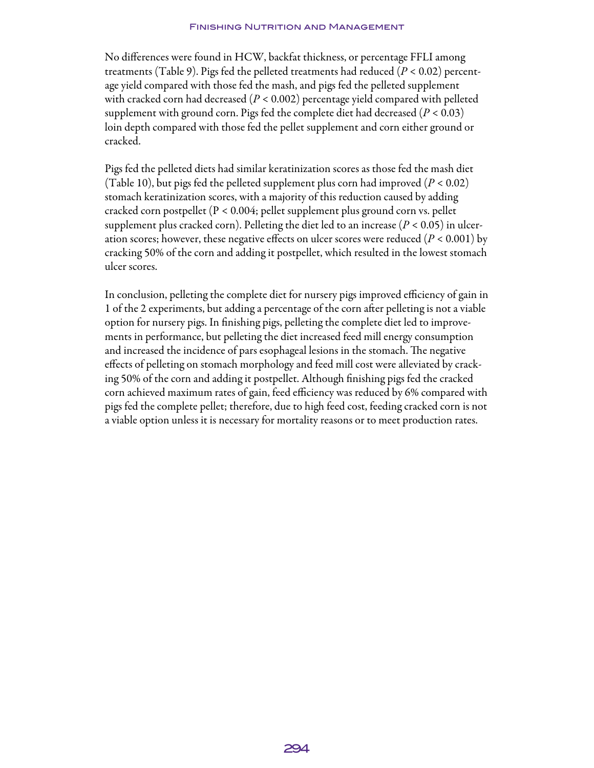No differences were found in HCW, backfat thickness, or percentage FFLI among treatments (Table 9). Pigs fed the pelleted treatments had reduced (*P* < 0.02) percentage yield compared with those fed the mash, and pigs fed the pelleted supplement with cracked corn had decreased (*P* < 0.002) percentage yield compared with pelleted supplement with ground corn. Pigs fed the complete diet had decreased (*P* < 0.03) loin depth compared with those fed the pellet supplement and corn either ground or cracked.

Pigs fed the pelleted diets had similar keratinization scores as those fed the mash diet (Table 10), but pigs fed the pelleted supplement plus corn had improved  $(P < 0.02)$ stomach keratinization scores, with a majority of this reduction caused by adding cracked corn postpellet (P < 0.004; pellet supplement plus ground corn vs. pellet supplement plus cracked corn). Pelleting the diet led to an increase  $(P < 0.05)$  in ulceration scores; however, these negative effects on ulcer scores were reduced (*P* < 0.001) by cracking 50% of the corn and adding it postpellet, which resulted in the lowest stomach ulcer scores.

In conclusion, pelleting the complete diet for nursery pigs improved efficiency of gain in 1 of the 2 experiments, but adding a percentage of the corn after pelleting is not a viable option for nursery pigs. In finishing pigs, pelleting the complete diet led to improvements in performance, but pelleting the diet increased feed mill energy consumption and increased the incidence of pars esophageal lesions in the stomach. The negative effects of pelleting on stomach morphology and feed mill cost were alleviated by cracking 50% of the corn and adding it postpellet. Although finishing pigs fed the cracked corn achieved maximum rates of gain, feed efficiency was reduced by 6% compared with pigs fed the complete pellet; therefore, due to high feed cost, feeding cracked corn is not a viable option unless it is necessary for mortality reasons or to meet production rates.

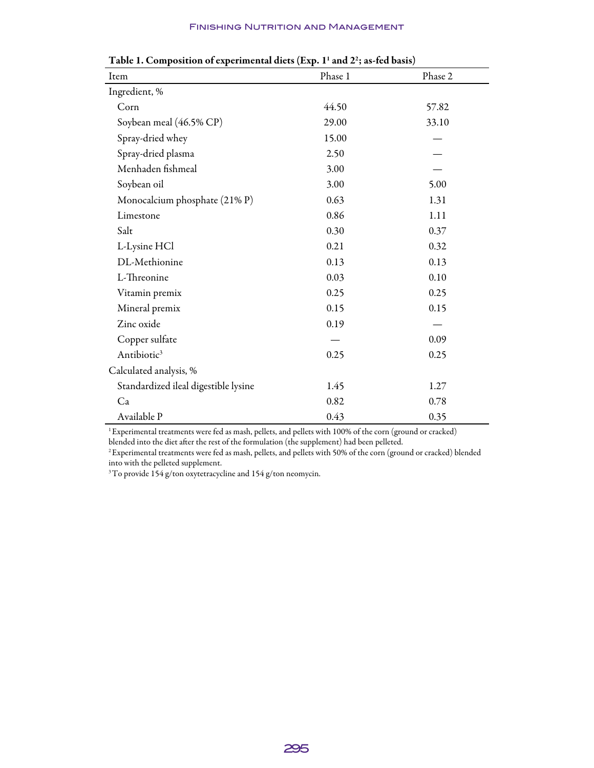| Item                                 | Phase 1 | Phase 2 |
|--------------------------------------|---------|---------|
| Ingredient, %                        |         |         |
| Corn                                 | 44.50   | 57.82   |
| Soybean meal (46.5% CP)              | 29.00   | 33.10   |
| Spray-dried whey                     | 15.00   |         |
| Spray-dried plasma                   | 2.50    |         |
| Menhaden fishmeal                    | 3.00    |         |
| Soybean oil                          | 3.00    | 5.00    |
| Monocalcium phosphate (21% P)        | 0.63    | 1.31    |
| Limestone                            | 0.86    | 1.11    |
| Salt                                 | 0.30    | 0.37    |
| L-Lysine HCl                         | 0.21    | 0.32    |
| DL-Methionine                        | 0.13    | 0.13    |
| L-Threonine                          | 0.03    | 0.10    |
| Vitamin premix                       | 0.25    | 0.25    |
| Mineral premix                       | 0.15    | 0.15    |
| Zinc oxide                           | 0.19    |         |
| Copper sulfate                       |         | 0.09    |
| Antibiotic <sup>3</sup>              | 0.25    | 0.25    |
| Calculated analysis, %               |         |         |
| Standardized ileal digestible lysine | 1.45    | 1.27    |
| Ca                                   | 0.82    | 0.78    |
| Available P                          | 0.43    | 0.35    |

Table 1. Composition of experimental diets (Exp.  $1^1$  and  $2^2$ ; as-fed basis)

1 Experimental treatments were fed as mash, pellets, and pellets with 100% of the corn (ground or cracked) blended into the diet after the rest of the formulation (the supplement) had been pelleted.

2 Experimental treatments were fed as mash, pellets, and pellets with 50% of the corn (ground or cracked) blended

into with the pelleted supplement.

 $^3{\rm To}$  provide 154 g/ton oxytetracycline and 154 g/ton neomycin.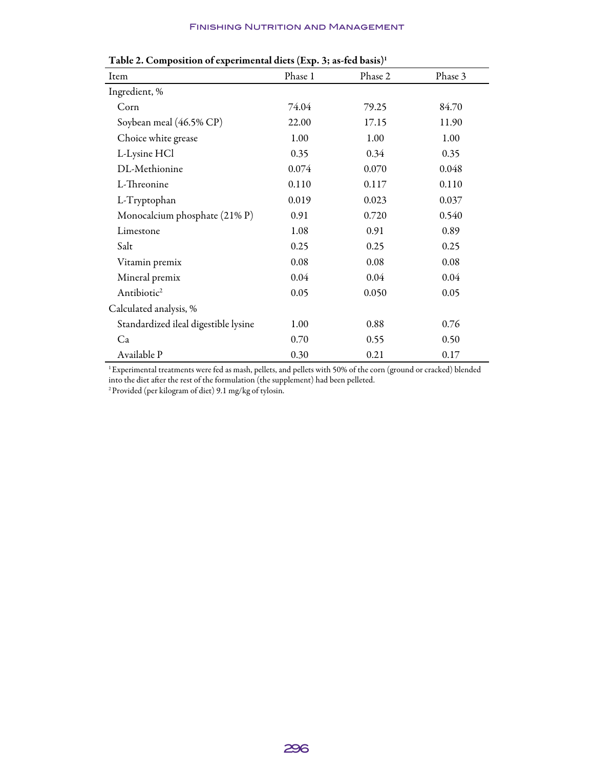| Item                                 | Phase 1 | Phase 2 | Phase 3 |
|--------------------------------------|---------|---------|---------|
| Ingredient, %                        |         |         |         |
| Corn                                 | 74.04   | 79.25   | 84.70   |
| Soybean meal (46.5% CP)              | 22.00   | 17.15   | 11.90   |
| Choice white grease                  | 1.00    | 1.00    | 1.00    |
| L-Lysine HCl                         | 0.35    | 0.34    | 0.35    |
| DL-Methionine                        | 0.074   | 0.070   | 0.048   |
| L-Threonine                          | 0.110   | 0.117   | 0.110   |
| L-Tryptophan                         | 0.019   | 0.023   | 0.037   |
| Monocalcium phosphate (21% P)        | 0.91    | 0.720   | 0.540   |
| Limestone                            | 1.08    | 0.91    | 0.89    |
| Salt                                 | 0.25    | 0.25    | 0.25    |
| Vitamin premix                       | 0.08    | 0.08    | 0.08    |
| Mineral premix                       | 0.04    | 0.04    | 0.04    |
| Antibiotic <sup>2</sup>              | 0.05    | 0.050   | 0.05    |
| Calculated analysis, %               |         |         |         |
| Standardized ileal digestible lysine | 1.00    | 0.88    | 0.76    |
| Ca                                   | 0.70    | 0.55    | 0.50    |
| Available P                          | 0.30    | 0.21    | 0.17    |

#### Table 2. Composition of experimental diets (Exp. 3; as-fed basis)<sup>1</sup>

1 Experimental treatments were fed as mash, pellets, and pellets with 50% of the corn (ground or cracked) blended into the diet after the rest of the formulation (the supplement) had been pelleted.

2 Provided (per kilogram of diet) 9.1 mg/kg of tylosin.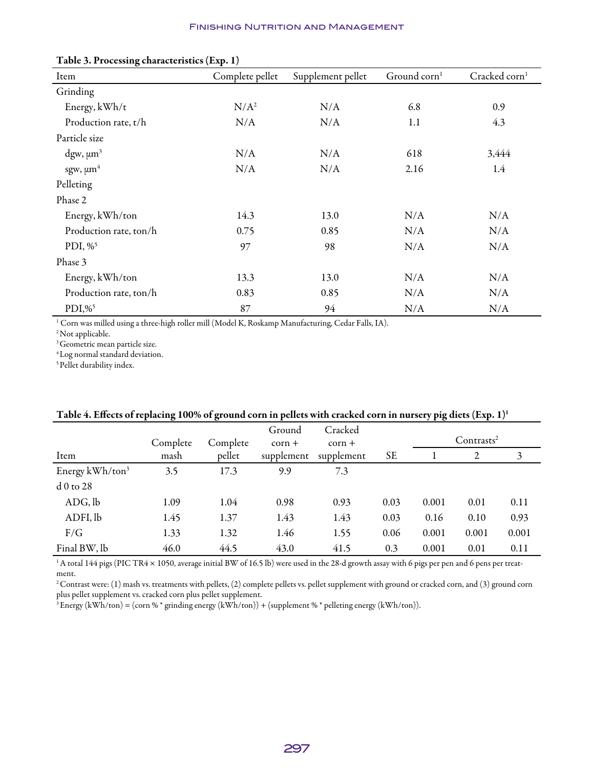| I able 3. Processing characteristics (Exp. 1) |                 |                   |                          |                           |  |  |  |  |
|-----------------------------------------------|-----------------|-------------------|--------------------------|---------------------------|--|--|--|--|
| Item                                          | Complete pellet | Supplement pellet | Ground corn <sup>1</sup> | Cracked corn <sup>1</sup> |  |  |  |  |
| Grinding                                      |                 |                   |                          |                           |  |  |  |  |
| Energy, kWh/t                                 | $N/A^2$         | N/A               | 6.8                      | 0.9                       |  |  |  |  |
| Production rate, t/h                          | N/A             | N/A               | 1.1                      | 4.3                       |  |  |  |  |
| Particle size                                 |                 |                   |                          |                           |  |  |  |  |
| $\text{dgw}, \mu \text{m}^3$                  | N/A             | N/A               | 618                      | 3,444                     |  |  |  |  |
| sgw, $\mu m^4$                                | N/A             | N/A               | 2.16                     | 1.4                       |  |  |  |  |
| Pelleting                                     |                 |                   |                          |                           |  |  |  |  |
| Phase 2                                       |                 |                   |                          |                           |  |  |  |  |
| Energy, kWh/ton                               | 14.3            | 13.0              | N/A                      | N/A                       |  |  |  |  |
| Production rate, ton/h                        | 0.75            | 0.85              | N/A                      | N/A                       |  |  |  |  |
| PDI, $\%$ <sup>5</sup>                        | 97              | 98                | N/A                      | N/A                       |  |  |  |  |
| Phase 3                                       |                 |                   |                          |                           |  |  |  |  |
| Energy, kWh/ton                               | 13.3            | 13.0              | N/A                      | N/A                       |  |  |  |  |
| Production rate, ton/h                        | 0.83            | 0.85              | N/A                      | N/A                       |  |  |  |  |
| $PDI, \%$ <sup>5</sup>                        | 87              | 94                | N/A                      | N/A                       |  |  |  |  |

#### Table 3. Processing characteristics (Exp. 1)

1 Corn was milled using a three-high roller mill (Model K, Roskamp Manufacturing, Cedar Falls, IA).

<sup>2</sup> Not applicable.

<sup>3</sup> Geometric mean particle size.

4 Log normal standard deviation.

<sup>5</sup> Pellet durability index.

|                             | ັ        | ັ        |                    |                     |           | $\cdot$ . $\cdot$ |                        |       |
|-----------------------------|----------|----------|--------------------|---------------------|-----------|-------------------|------------------------|-------|
|                             | Complete | Complete | Ground<br>$corr +$ | Cracked<br>$corr +$ |           |                   | Contrasts <sup>2</sup> |       |
| Item                        | mash     | pellet   | supplement         | supplement          | <b>SE</b> |                   | 2                      | 3     |
| Energy kWh/ton <sup>3</sup> | 3.5      | 17.3     | 9.9                | 7.3                 |           |                   |                        |       |
| $d0$ to 28                  |          |          |                    |                     |           |                   |                        |       |
| ADG, lb                     | 1.09     | 1.04     | 0.98               | 0.93                | 0.03      | 0.001             | 0.01                   | 0.11  |
| ADFI, lb                    | 1.45     | 1.37     | 1.43               | 1.43                | 0.03      | 0.16              | 0.10                   | 0.93  |
| F/G                         | 1.33     | 1.32     | 1.46               | 1.55                | 0.06      | 0.001             | 0.001                  | 0.001 |
| Final BW, lb                | 46.0     | 44.5     | 43.0               | 41.5                | 0.3       | 0.001             | 0.01                   | 0.11  |

#### Table 4. Effects of replacing 100% of ground corn in pellets with cracked corn in nursery pig diets  $(Exp. 1)^1$

<sup>1</sup> A total 144 pigs (PIC TR4 × 1050, average initial BW of 16.5 lb) were used in the 28-d growth assay with 6 pigs per pen and 6 pens per treatment.

<sup>2</sup> Contrast were: (1) mash vs. treatments with pellets, (2) complete pellets vs. pellet supplement with ground or cracked corn, and (3) ground corn plus pellet supplement vs. cracked corn plus pellet supplement.

 $3$  Energy (kWh/ton) = (corn % \* grinding energy (kWh/ton)) + (supplement % \* pelleting energy (kWh/ton)).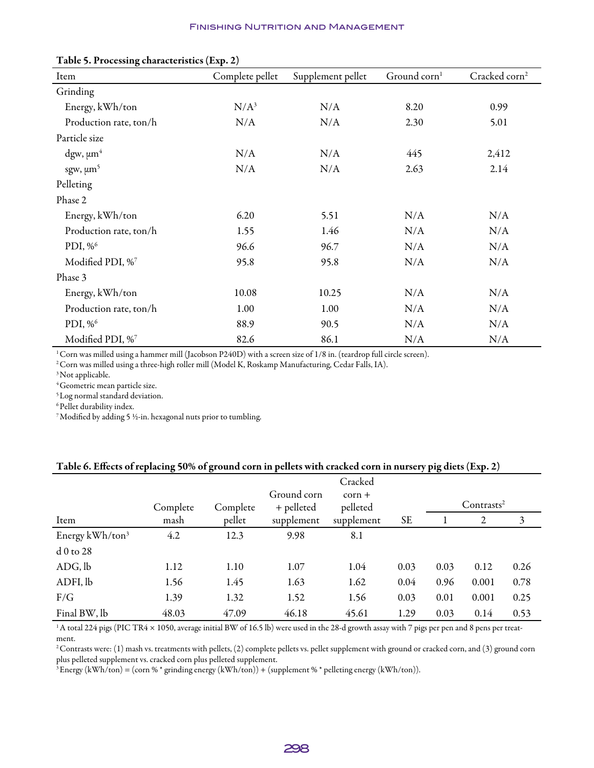| Table 5. Processing characteristics (Exp. 2) |                 |                   |                        |                           |  |  |  |  |
|----------------------------------------------|-----------------|-------------------|------------------------|---------------------------|--|--|--|--|
| Item                                         | Complete pellet | Supplement pellet | Ground $\text{corn}^1$ | Cracked corn <sup>2</sup> |  |  |  |  |
| Grinding                                     |                 |                   |                        |                           |  |  |  |  |
| Energy, kWh/ton                              | $N/A^3$         | N/A               | 8.20                   | 0.99                      |  |  |  |  |
| Production rate, ton/h                       | N/A             | N/A               | 2.30                   | 5.01                      |  |  |  |  |
| Particle size                                |                 |                   |                        |                           |  |  |  |  |
| $\text{dgw}, \mu \text{m}^4$                 | N/A             | N/A               | 445                    | 2,412                     |  |  |  |  |
| sgw, $\mu m^5$                               | N/A             | N/A               | 2.63                   | 2.14                      |  |  |  |  |
| Pelleting                                    |                 |                   |                        |                           |  |  |  |  |
| Phase 2                                      |                 |                   |                        |                           |  |  |  |  |
| Energy, kWh/ton                              | 6.20            | 5.51              | N/A                    | N/A                       |  |  |  |  |
| Production rate, ton/h                       | 1.55            | 1.46              | N/A                    | N/A                       |  |  |  |  |
| PDI, % <sup>6</sup>                          | 96.6            | 96.7              | N/A                    | N/A                       |  |  |  |  |
| Modified PDI, %7                             | 95.8            | 95.8              | N/A                    | N/A                       |  |  |  |  |
| Phase 3                                      |                 |                   |                        |                           |  |  |  |  |
| Energy, kWh/ton                              | 10.08           | 10.25             | N/A                    | N/A                       |  |  |  |  |
| Production rate, ton/h                       | 1.00            | 1.00              | N/A                    | N/A                       |  |  |  |  |
| PDI, $\%^6$                                  | 88.9            | 90.5              | N/A                    | N/A                       |  |  |  |  |
| Modified PDI, %7                             | 82.6            | 86.1              | N/A                    | N/A                       |  |  |  |  |

#### Table 5. Processing characteristics (Exp. 2)

<sup>1</sup> Corn was milled using a hammer mill (Jacobson P240D) with a screen size of 1/8 in. (teardrop full circle screen).

<sup>2</sup> Corn was milled using a three-high roller mill (Model K, Roskamp Manufacturing, Cedar Falls, IA).

<sup>3</sup> Not applicable.

4 Geometric mean particle size.

5 Log normal standard deviation.

6 Pellet durability index.

7 Modified by adding 5 ½-in. hexagonal nuts prior to tumbling.

#### Table 6. Effects of replacing 50% of ground corn in pellets with cracked corn in nursery pig diets (Exp. 2)

|                             | Complete | Complete | Ground corn<br>+ pelleted | Cracked<br>$corr +$<br>pelleted |           |      | Contrasts <sup>2</sup> |      |
|-----------------------------|----------|----------|---------------------------|---------------------------------|-----------|------|------------------------|------|
| Item                        | mash     | pellet   | supplement                | supplement                      | <b>SE</b> |      | 2                      | 3    |
| Energy kWh/ton <sup>3</sup> | 4.2      | 12.3     | 9.98                      | 8.1                             |           |      |                        |      |
| $d0$ to 28                  |          |          |                           |                                 |           |      |                        |      |
| ADG, lb                     | 1.12     | 1.10     | 1.07                      | 1.04                            | 0.03      | 0.03 | 0.12                   | 0.26 |
| ADFI, lb                    | 1.56     | 1.45     | 1.63                      | 1.62                            | 0.04      | 0.96 | 0.001                  | 0.78 |
| F/G                         | 1.39     | 1.32     | 1.52                      | 1.56                            | 0.03      | 0.01 | 0.001                  | 0.25 |
| Final BW, lb                | 48.03    | 47.09    | 46.18                     | 45.61                           | 1.29      | 0.03 | 0.14                   | 0.53 |

<sup>1</sup> A total 224 pigs (PIC TR4 × 1050, average initial BW of 16.5 lb) were used in the 28-d growth assay with 7 pigs per pen and 8 pens per treatment.

<sup>2</sup> Contrasts were: (1) mash vs. treatments with pellets, (2) complete pellets vs. pellet supplement with ground or cracked corn, and (3) ground corn plus pelleted supplement vs. cracked corn plus pelleted supplement.

 $3$  Energy (kWh/ton) = (corn % \* grinding energy (kWh/ton)) + (supplement % \* pelleting energy (kWh/ton)).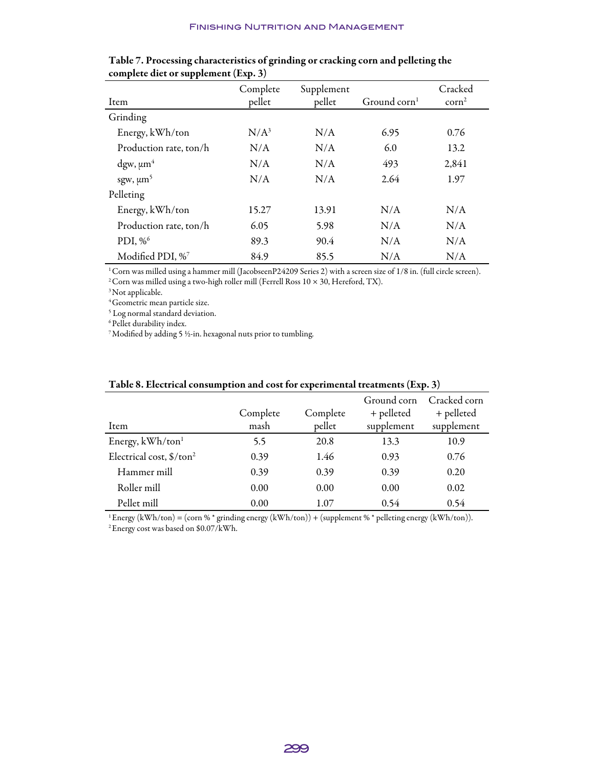| <b>TT</b>              | $\mathbf{r}$<br>$\overline{\phantom{a}}$ |                      |                 |                            |
|------------------------|------------------------------------------|----------------------|-----------------|----------------------------|
| Item                   | Complete<br>pellet                       | Supplement<br>pellet | Ground corn $1$ | Cracked<br>$\text{corn}^2$ |
| Grinding               |                                          |                      |                 |                            |
| Energy, kWh/ton        | $N/A^3$                                  | N/A                  | 6.95            | 0.76                       |
| Production rate, ton/h | N/A                                      | N/A                  | 6.0             | 13.2                       |
| dgw, $\mu m^4$         | N/A                                      | N/A                  | 493             | 2,841                      |
| sgw, $\mu m^5$         | N/A                                      | N/A                  | 2.64            | 1.97                       |
| Pelleting              |                                          |                      |                 |                            |
| Energy, kWh/ton        | 15.27                                    | 13.91                | N/A             | N/A                        |
| Production rate, ton/h | 6.05                                     | 5.98                 | N/A             | N/A                        |
| PDI, %6                | 89.3                                     | 90.4                 | N/A             | N/A                        |
| Modified PDI, %7       | 84.9                                     | 85.5                 | N/A             | N/A                        |

| Table 7. Processing characteristics of grinding or cracking corn and pelleting the |
|------------------------------------------------------------------------------------|
| complete diet or supplement (Exp. 3)                                               |

 $1$  Corn was milled using a hammer mill (JacobseenP24209 Series 2) with a screen size of 1/8 in. (full circle screen).

<sup>2</sup> Corn was milled using a two-high roller mill (Ferrell Ross  $10 \times 30$ , Hereford, TX).

<sup>3</sup> Not applicable.

4 Geometric mean particle size.

5 Log normal standard deviation.

6 Pellet durability index.

7 Modified by adding 5 ½-in. hexagonal nuts prior to tumbling.

|                                      | Complete | Complete | Ground corn<br>+ pelleted | Cracked corn<br>+ pelleted |
|--------------------------------------|----------|----------|---------------------------|----------------------------|
| Item                                 | mash     | pellet   | supplement                | supplement                 |
| Energy, kWh/ton <sup>1</sup>         | 5.5      | 20.8     | 13.3                      | 10.9                       |
| Electrical cost, \$/ton <sup>2</sup> | 0.39     | 1.46     | 0.93                      | 0.76                       |
| Hammer mill                          | 0.39     | 0.39     | 0.39                      | 0.20                       |
| Roller mill                          | 0.00     | 0.00     | 0.00                      | 0.02                       |
| Pellet mill                          | 0.00     | 1.07     | 0.54                      | 0.54                       |
|                                      |          |          |                           |                            |

#### Table 8. Electrical consumption and cost for experimental treatments (Exp. 3)

<sup>1</sup> Energy (kWh/ton) = (corn % \* grinding energy (kWh/ton)) + (supplement % \* pelleting energy (kWh/ton)). 2 Energy cost was based on \$0.07/kWh.